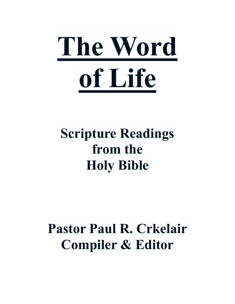

## **Scripture Readings from the Holy Bible**

## **Pastor Paul R. Crkelair Compiler & Editor**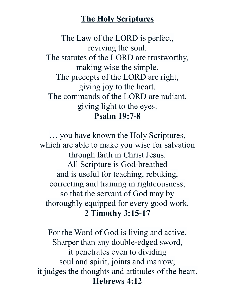#### **The Holy Scriptures**

The Law of the LORD is perfect, reviving the soul. The statutes of the LORD are trustworthy, making wise the simple. The precepts of the LORD are right, giving joy to the heart. The commands of the LORD are radiant, giving light to the eyes. **Psalm 19:7-8**

… you have known the Holy Scriptures, which are able to make you wise for salvation through faith in Christ Jesus. All Scripture is God-breathed and is useful for teaching, rebuking, correcting and training in righteousness, so that the servant of God may by thoroughly equipped for every good work. **2 Timothy 3:15-17**

For the Word of God is living and active. Sharper than any double-edged sword, it penetrates even to dividing soul and spirit, joints and marrow; it judges the thoughts and attitudes of the heart. **Hebrews 4:12**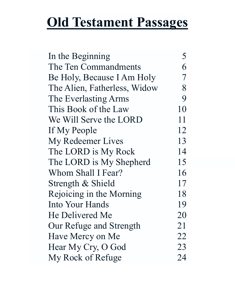## **Old Testament Passages**

| In the Beginning             | 5  |
|------------------------------|----|
| The Ten Commandments         | 6  |
| Be Holy, Because I Am Holy   | 7  |
| The Alien, Fatherless, Widow | 8  |
| The Everlasting Arms         | 9  |
| This Book of the Law         | 10 |
| We Will Serve the LORD       | 11 |
| If My People                 | 12 |
| My Redeemer Lives            | 13 |
| The LORD is My Rock          | 14 |
| The LORD is My Shepherd      | 15 |
| Whom Shall I Fear?           | 16 |
| Strength & Shield            | 17 |
| Rejoicing in the Morning     | 18 |
| Into Your Hands              | 19 |
| He Delivered Me              | 20 |
| Our Refuge and Strength      | 21 |
| Have Mercy on Me             | 22 |
| Hear My Cry, O God           | 23 |
| My Rock of Refuge            | 24 |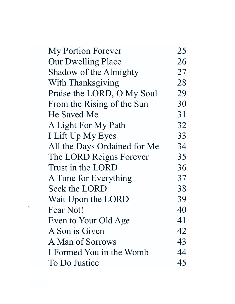| My Portion Forever           | 25 |
|------------------------------|----|
| Our Dwelling Place           | 26 |
| Shadow of the Almighty       | 27 |
| With Thanksgiving            | 28 |
| Praise the LORD, O My Soul   | 29 |
| From the Rising of the Sun   | 30 |
| He Saved Me                  | 31 |
| A Light For My Path          | 32 |
| I Lift Up My Eyes            | 33 |
| All the Days Ordained for Me | 34 |
| The LORD Reigns Forever      | 35 |
| Trust in the LORD            | 36 |
| A Time for Everything        | 37 |
| Seek the LORD                | 38 |
| Wait Upon the LORD           | 39 |
| Fear Not!                    | 40 |
| Even to Your Old Age         | 41 |
| A Son is Given               | 42 |
| A Man of Sorrows             | 43 |
| I Formed You in the Womb     | 44 |
| To Do Justice                | 45 |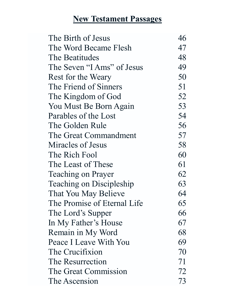### **New Testament Passages**

| The Birth of Jesus          | 46 |
|-----------------------------|----|
| The Word Became Flesh       | 47 |
| The Beatitudes              | 48 |
| The Seven "I Ams" of Jesus  | 49 |
| Rest for the Weary          | 50 |
| The Friend of Sinners       | 51 |
| The Kingdom of God          | 52 |
| You Must Be Born Again      | 53 |
| Parables of the Lost        | 54 |
| The Golden Rule             | 56 |
| The Great Commandment       | 57 |
| Miracles of Jesus           | 58 |
| The Rich Fool               | 60 |
| The Least of These          | 61 |
| Teaching on Prayer          | 62 |
| Teaching on Discipleship    | 63 |
| That You May Believe        | 64 |
| The Promise of Eternal Life | 65 |
| The Lord's Supper           | 66 |
| In My Father's House        | 67 |
| Remain in My Word           | 68 |
| Peace I Leave With You      | 69 |
| The Crucifixion             | 70 |
| The Resurrection            | 71 |
| The Great Commission        | 72 |
| The Ascension               | 73 |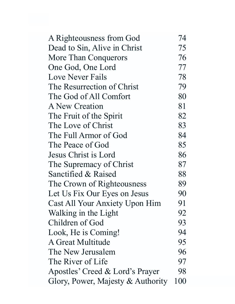| A Righteousness from God          | 74  |
|-----------------------------------|-----|
| Dead to Sin, Alive in Christ      | 75  |
| More Than Conquerors              | 76  |
| One God, One Lord                 | 77  |
| Love Never Fails                  | 78  |
| The Resurrection of Christ        | 79  |
| The God of All Comfort            | 80  |
| A New Creation                    | 81  |
| The Fruit of the Spirit           | 82  |
| The Love of Christ                | 83  |
| The Full Armor of God             | 84  |
| The Peace of God                  | 85  |
| Jesus Christ is Lord              | 86  |
| The Supremacy of Christ           | 87  |
| Sanctified & Raised               | 88  |
| The Crown of Righteousness        | 89  |
| Let Us Fix Our Eyes on Jesus      | 90  |
| Cast All Your Anxiety Upon Him    | 91  |
| Walking in the Light              | 92  |
| Children of God                   | 93  |
| Look, He is Coming!               | 94  |
| A Great Multitude                 | 95  |
| The New Jerusalem                 | 96  |
| The River of Life                 | 97  |
| Apostles' Creed & Lord's Prayer   | 98  |
| Glory, Power, Majesty & Authority | 100 |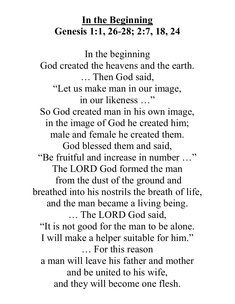### **In the Beginning Genesis 1:1, 26-28; 2:7, 18, 24**

In the beginning God created the heavens and the earth. … Then God said, "Let us make man in our image, in our likeness …" So God created man in his own image, in the image of God he created him; male and female he created them. God blessed them and said, "Be fruitful and increase in number …" The LORD God formed the man from the dust of the ground and breathed into his nostrils the breath of life, and the man became a living being. … The LORD God said, "It is not good for the man to be alone. I will make a helper suitable for him." … For this reason a man will leave his father and mother and be united to his wife, and they will become one flesh.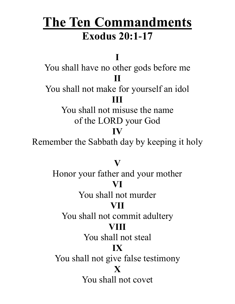### **The Ten Commandments Exodus 20:1-17**

**I**

You shall have no other gods before me **II**

You shall not make for yourself an idol **III**

> You shall not misuse the name of the LORD your God

#### **IV**

Remember the Sabbath day by keeping it holy

### **V**

Honor your father and your mother

### **VI**

You shall not murder

#### **VII**

You shall not commit adultery

#### **VIII**

You shall not steal

#### **IX**

You shall not give false testimony

#### **X**

You shall not covet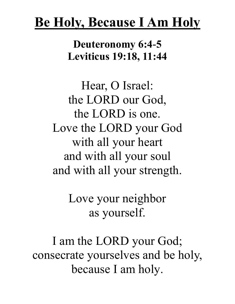## **Be Holy, Because I Am Holy**

**Deuteronomy 6:4-5 Leviticus 19:18, 11:44**

Hear, O Israel: the LORD our God, the LORD is one. Love the LORD your God with all your heart and with all your soul and with all your strength.

> Love your neighbor as yourself.

I am the LORD your God; consecrate yourselves and be holy, because I am holy.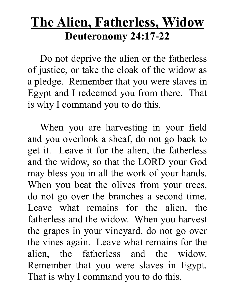### **The Alien, Fatherless, Widow Deuteronomy 24:17-22**

 Do not deprive the alien or the fatherless of justice, or take the cloak of the widow as a pledge. Remember that you were slaves in Egypt and I redeemed you from there. That is why I command you to do this.

 When you are harvesting in your field and you overlook a sheaf, do not go back to get it. Leave it for the alien, the fatherless and the widow, so that the LORD your God may bless you in all the work of your hands. When you beat the olives from your trees, do not go over the branches a second time. Leave what remains for the alien, the fatherless and the widow. When you harvest the grapes in your vineyard, do not go over the vines again. Leave what remains for the alien, the fatherless and the widow. Remember that you were slaves in Egypt. That is why I command you to do this.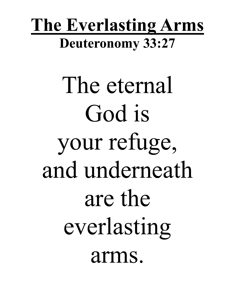## **The Everlasting Arms Deuteronomy 33:27**

The eternal God is your refuge, and underneath are the everlasting arms.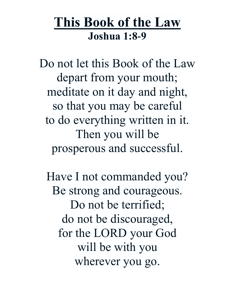### **This Book of the Law Joshua 1:8-9**

Do not let this Book of the Law depart from your mouth; meditate on it day and night, so that you may be careful to do everything written in it. Then you will be prosperous and successful.

Have I not commanded you? Be strong and courageous. Do not be terrified; do not be discouraged, for the LORD your God will be with you wherever you go.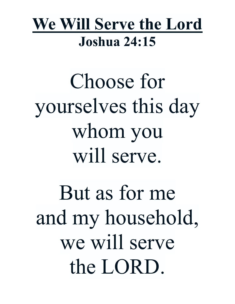## **We Will Serve the Lord Joshua 24:15**

Choose for yourselves this day whom you will serve.

But as for me and my household, we will serve the LORD.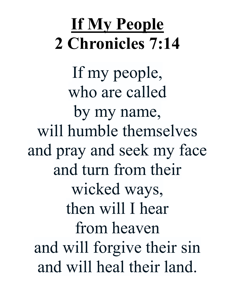## **If My People 2 Chronicles 7:14**

If my people, who are called by my name, will humble themselves and pray and seek my face and turn from their wicked ways, then will I hear from heaven and will forgive their sin and will heal their land.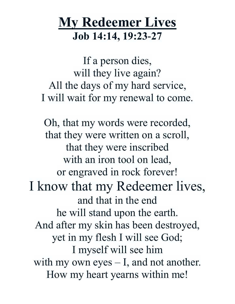### **My Redeemer Lives Job 14:14, 19:23-27**

If a person dies, will they live again? All the days of my hard service, I will wait for my renewal to come.

Oh, that my words were recorded, that they were written on a scroll, that they were inscribed with an iron tool on lead, or engraved in rock forever! I know that my Redeemer lives, and that in the end he will stand upon the earth. And after my skin has been destroyed, yet in my flesh I will see God; I myself will see him with my own eyes – I, and not another. How my heart yearns within me!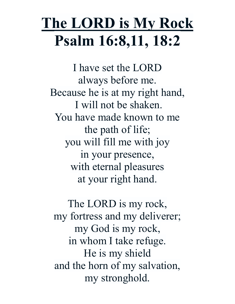## **The LORD is My Rock Psalm 16:8,11, 18:2**

I have set the LORD always before me. Because he is at my right hand, I will not be shaken. You have made known to me the path of life; you will fill me with joy in your presence, with eternal pleasures at your right hand.

The LORD is my rock, my fortress and my deliverer; my God is my rock, in whom I take refuge. He is my shield and the horn of my salvation, my stronghold.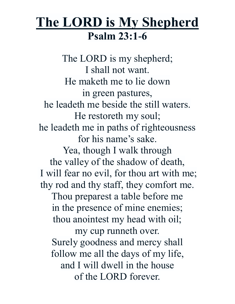### **The LORD is My Shepherd Psalm 23:1-6**

The LORD is my shepherd; I shall not want. He maketh me to lie down in green pastures, he leadeth me beside the still waters. He restoreth my soul; he leadeth me in paths of righteousness for his name's sake. Yea, though I walk through the valley of the shadow of death, I will fear no evil, for thou art with me; thy rod and thy staff, they comfort me. Thou preparest a table before me in the presence of mine enemies; thou anointest my head with oil; my cup runneth over. Surely goodness and mercy shall follow me all the days of my life, and I will dwell in the house of the LORD forever.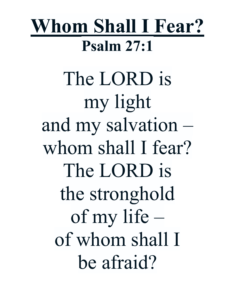## **Whom Shall I Fear? Psalm 27:1**

The LORD is my light and my salvation – whom shall I fear? The LORD is the stronghold of my life – of whom shall I be afraid?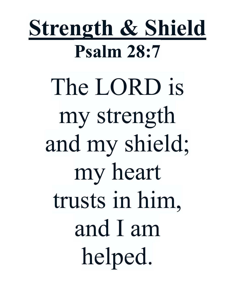# **Strength & Shield Psalm 28:7** The LORD is my strength and my shield; my heart trusts in him, and I am helped.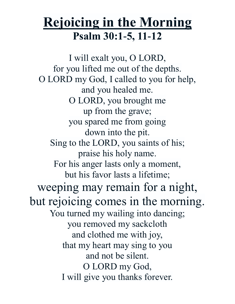### **Rejoicing in the Morning Psalm 30:1-5, 11-12**

I will exalt you, O LORD, for you lifted me out of the depths. O LORD my God, I called to you for help, and you healed me. O LORD, you brought me up from the grave; you spared me from going down into the pit. Sing to the LORD, you saints of his; praise his holy name. For his anger lasts only a moment, but his favor lasts a lifetime; weeping may remain for a night, but rejoicing comes in the morning. You turned my wailing into dancing; you removed my sackcloth and clothed me with joy, that my heart may sing to you and not be silent. O LORD my God, I will give you thanks forever.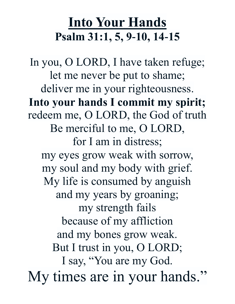## **Into Your Hands Psalm 31:1, 5, 9-10, 14-15**

In you, O LORD, I have taken refuge; let me never be put to shame; deliver me in your righteousness. **Into your hands I commit my spirit;** redeem me, O LORD, the God of truth Be merciful to me, O LORD, for I am in distress; my eyes grow weak with sorrow, my soul and my body with grief. My life is consumed by anguish and my years by groaning; my strength fails because of my affliction and my bones grow weak. But I trust in you, O LORD; I say, "You are my God. My times are in your hands."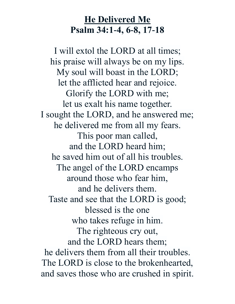### **He Delivered Me Psalm 34:1-4, 6-8, 17-18**

I will extol the LORD at all times; his praise will always be on my lips. My soul will boast in the LORD; let the afflicted hear and rejoice. Glorify the LORD with me; let us exalt his name together. I sought the LORD, and he answered me; he delivered me from all my fears. This poor man called, and the LORD heard him; he saved him out of all his troubles. The angel of the LORD encamps around those who fear him, and he delivers them. Taste and see that the LORD is good; blessed is the one who takes refuge in him. The righteous cry out, and the LORD hears them; he delivers them from all their troubles. The LORD is close to the brokenhearted, and saves those who are crushed in spirit.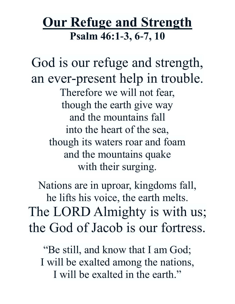### **Our Refuge and Strength Psalm 46:1-3, 6-7, 10**

God is our refuge and strength, an ever-present help in trouble. Therefore we will not fear, though the earth give way and the mountains fall into the heart of the sea, though its waters roar and foam and the mountains quake with their surging.

Nations are in uproar, kingdoms fall, he lifts his voice, the earth melts. The LORD Almighty is with us; the God of Jacob is our fortress.

"Be still, and know that I am God; I will be exalted among the nations, I will be exalted in the earth."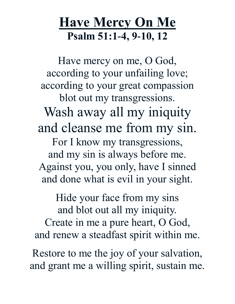### **Have Mercy On Me Psalm 51:1-4, 9-10, 12**

Have mercy on me, O God, according to your unfailing love; according to your great compassion blot out my transgressions. Wash away all my iniquity and cleanse me from my sin. For I know my transgressions, and my sin is always before me. Against you, you only, have I sinned and done what is evil in your sight.

Hide your face from my sins and blot out all my iniquity. Create in me a pure heart, O God, and renew a steadfast spirit within me.

Restore to me the joy of your salvation, and grant me a willing spirit, sustain me.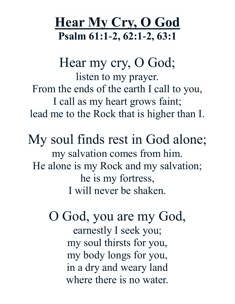### **Hear My Cry, O God Psalm 61:1-2, 62:1-2, 63:1**

Hear my cry, O God; listen to my prayer. From the ends of the earth I call to you, I call as my heart grows faint; lead me to the Rock that is higher than I.

My soul finds rest in God alone; my salvation comes from him. He alone is my Rock and my salvation; he is my fortress, I will never be shaken.

> O God, you are my God, earnestly I seek you; my soul thirsts for you, my body longs for you, in a dry and weary land where there is no water.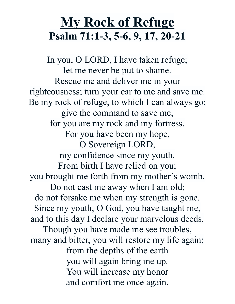### **My Rock of Refuge Psalm 71:1-3, 5-6, 9, 17, 20-21**

In you, O LORD, I have taken refuge; let me never be put to shame. Rescue me and deliver me in your righteousness; turn your ear to me and save me. Be my rock of refuge, to which I can always go; give the command to save me, for you are my rock and my fortress. For you have been my hope, O Sovereign LORD, my confidence since my youth. From birth I have relied on you; you brought me forth from my mother's womb. Do not cast me away when I am old; do not forsake me when my strength is gone. Since my youth, O God, you have taught me, and to this day I declare your marvelous deeds. Though you have made me see troubles, many and bitter, you will restore my life again; from the depths of the earth you will again bring me up. You will increase my honor and comfort me once again.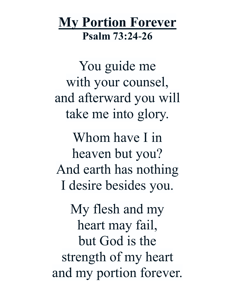### **My Portion Forever Psalm 73:24-26**

You guide me with your counsel, and afterward you will take me into glory.

Whom have I in heaven but you? And earth has nothing I desire besides you.

My flesh and my heart may fail, but God is the strength of my heart and my portion forever.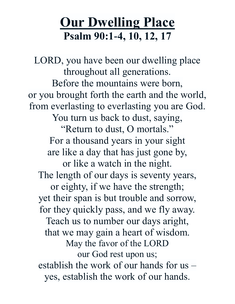### **Our Dwelling Place Psalm 90:1-4, 10, 12, 17**

LORD, you have been our dwelling place throughout all generations. Before the mountains were born, or you brought forth the earth and the world, from everlasting to everlasting you are God. You turn us back to dust, saying, "Return to dust, O mortals." For a thousand years in your sight are like a day that has just gone by, or like a watch in the night. The length of our days is seventy years, or eighty, if we have the strength; yet their span is but trouble and sorrow, for they quickly pass, and we fly away. Teach us to number our days aright, that we may gain a heart of wisdom. May the favor of the LORD our God rest upon us; establish the work of our hands for us – yes, establish the work of our hands.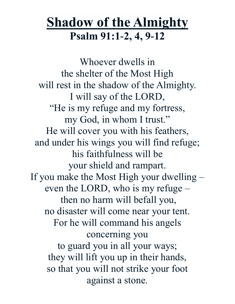### **Shadow of the Almighty Psalm 91:1-2, 4, 9-12**

Whoever dwells in the shelter of the Most High will rest in the shadow of the Almighty. I will say of the LORD, "He is my refuge and my fortress, my God, in whom I trust." He will cover you with his feathers, and under his wings you will find refuge; his faithfulness will be your shield and rampart. If you make the Most High your dwelling – even the LORD, who is my refuge – then no harm will befall you, no disaster will come near your tent. For he will command his angels concerning you to guard you in all your ways; they will lift you up in their hands, so that you will not strike your foot against a stone.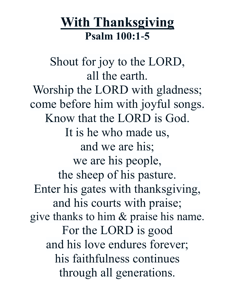### **With Thanksgiving Psalm 100:1-5**

Shout for joy to the LORD, all the earth. Worship the LORD with gladness; come before him with joyful songs. Know that the LORD is God. It is he who made us, and we are his; we are his people, the sheep of his pasture. Enter his gates with thanksgiving, and his courts with praise; give thanks to him & praise his name. For the LORD is good and his love endures forever; his faithfulness continues through all generations.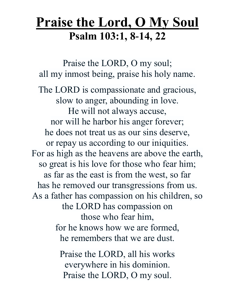### **Praise the Lord, O My Soul Psalm 103:1, 8-14, 22**

Praise the LORD, O my soul; all my inmost being, praise his holy name. The LORD is compassionate and gracious, slow to anger, abounding in love. He will not always accuse, nor will he harbor his anger forever; he does not treat us as our sins deserve, or repay us according to our iniquities. For as high as the heavens are above the earth, so great is his love for those who fear him; as far as the east is from the west, so far has he removed our transgressions from us. As a father has compassion on his children, so the LORD has compassion on those who fear him, for he knows how we are formed, he remembers that we are dust.

> Praise the LORD, all his works everywhere in his dominion. Praise the LORD, O my soul.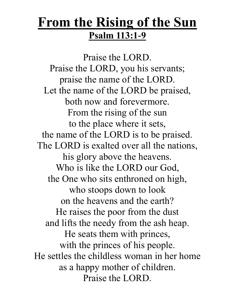### **From the Rising of the Sun Psalm 113:1-9**

Praise the LORD. Praise the LORD, you his servants; praise the name of the LORD. Let the name of the LORD be praised, both now and forevermore. From the rising of the sun to the place where it sets, the name of the LORD is to be praised. The LORD is exalted over all the nations, his glory above the heavens. Who is like the LORD our God, the One who sits enthroned on high, who stoops down to look on the heavens and the earth? He raises the poor from the dust and lifts the needy from the ash heap. He seats them with princes, with the princes of his people. He settles the childless woman in her home as a happy mother of children. Praise the LORD.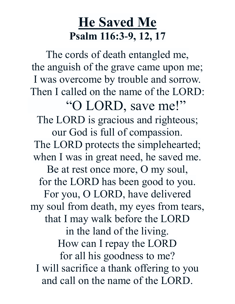### **He Saved Me Psalm 116:3-9, 12, 17**

The cords of death entangled me, the anguish of the grave came upon me; I was overcome by trouble and sorrow. Then I called on the name of the LORD: "O LORD, save me!" The LORD is gracious and righteous; our God is full of compassion. The LORD protects the simplehearted; when I was in great need, he saved me. Be at rest once more, O my soul, for the LORD has been good to you. For you, O LORD, have delivered my soul from death, my eyes from tears, that I may walk before the LORD in the land of the living. How can I repay the LORD for all his goodness to me? I will sacrifice a thank offering to you and call on the name of the LORD.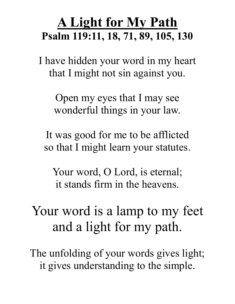### **A Light for My Path Psalm 119:11, 18, 71, 89, 105, 130**

I have hidden your word in my heart that I might not sin against you.

Open my eyes that I may see wonderful things in your law.

It was good for me to be afflicted so that I might learn your statutes.

Your word, O Lord, is eternal; it stands firm in the heavens.

## Your word is a lamp to my feet and a light for my path.

The unfolding of your words gives light; it gives understanding to the simple.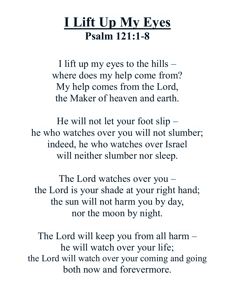### **I Lift Up My Eyes Psalm 121:1-8**

I lift up my eyes to the hills  $$ where does my help come from? My help comes from the Lord, the Maker of heaven and earth.

He will not let your foot slip – he who watches over you will not slumber; indeed, he who watches over Israel will neither slumber nor sleep.

The Lord watches over you – the Lord is your shade at your right hand; the sun will not harm you by day, nor the moon by night.

The Lord will keep you from all harm – he will watch over your life; the Lord will watch over your coming and going both now and forevermore.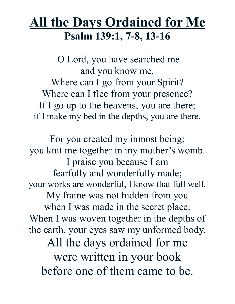# **All the Days Ordained for Me Psalm 139:1, 7-8, 13-16**

O Lord, you have searched me and you know me. Where can I go from your Spirit? Where can I flee from your presence? If I go up to the heavens, you are there; if I make my bed in the depths, you are there.

For you created my inmost being; you knit me together in my mother's womb. I praise you because I am fearfully and wonderfully made; your works are wonderful, I know that full well. My frame was not hidden from you when I was made in the secret place. When I was woven together in the depths of the earth, your eyes saw my unformed body. All the days ordained for me were written in your book before one of them came to be.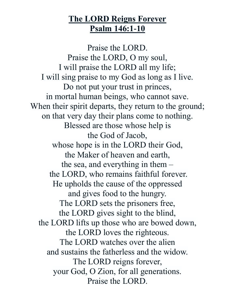#### **The LORD Reigns Forever Psalm 146:1-10**

Praise the LORD. Praise the LORD, O my soul, I will praise the LORD all my life; I will sing praise to my God as long as I live. Do not put your trust in princes, in mortal human beings, who cannot save. When their spirit departs, they return to the ground; on that very day their plans come to nothing. Blessed are those whose help is the God of Jacob, whose hope is in the LORD their God, the Maker of heaven and earth, the sea, and everything in them – the LORD, who remains faithful forever. He upholds the cause of the oppressed and gives food to the hungry. The LORD sets the prisoners free, the LORD gives sight to the blind, the LORD lifts up those who are bowed down, the LORD loves the righteous. The LORD watches over the alien and sustains the fatherless and the widow. The LORD reigns forever, your God, O Zion, for all generations. Praise the LORD.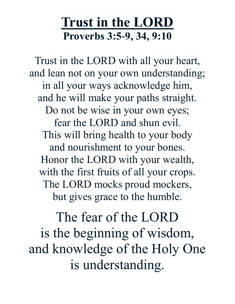# **Trust in the LORD Proverbs 3:5-9, 34, 9:10**

Trust in the LORD with all your heart, and lean not on your own understanding; in all your ways acknowledge him, and he will make your paths straight. Do not be wise in your own eyes; fear the LORD and shun evil. This will bring health to your body and nourishment to your bones. Honor the LORD with your wealth, with the first fruits of all your crops. The LORD mocks proud mockers, but gives grace to the humble.

The fear of the LORD is the beginning of wisdom, and knowledge of the Holy One is understanding.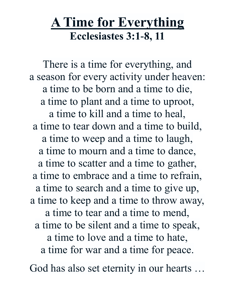### **A Time for Everything Ecclesiastes 3:1-8, 11**

There is a time for everything, and a season for every activity under heaven: a time to be born and a time to die, a time to plant and a time to uproot, a time to kill and a time to heal, a time to tear down and a time to build, a time to weep and a time to laugh, a time to mourn and a time to dance, a time to scatter and a time to gather, a time to embrace and a time to refrain, a time to search and a time to give up, a time to keep and a time to throw away, a time to tear and a time to mend, a time to be silent and a time to speak, a time to love and a time to hate, a time for war and a time for peace.

God has also set eternity in our hearts …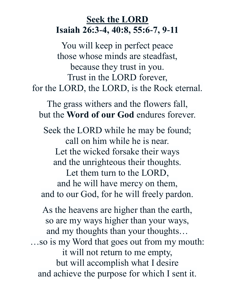#### **Seek the LORD Isaiah 26:3-4, 40:8, 55:6-7, 9-11**

You will keep in perfect peace those whose minds are steadfast, because they trust in you. Trust in the LORD forever, for the LORD, the LORD, is the Rock eternal.

The grass withers and the flowers fall, but the **Word of our God** endures forever.

Seek the LORD while he may be found; call on him while he is near. Let the wicked forsake their ways and the unrighteous their thoughts. Let them turn to the LORD, and he will have mercy on them, and to our God, for he will freely pardon.

As the heavens are higher than the earth, so are my ways higher than your ways, and my thoughts than your thoughts… …so is my Word that goes out from my mouth: it will not return to me empty, but will accomplish what I desire and achieve the purpose for which I sent it.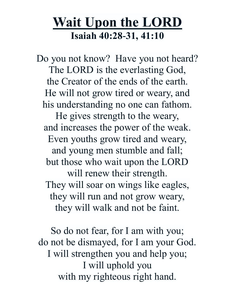### **Wait Upon the LORD Isaiah 40:28-31, 41:10**

Do you not know? Have you not heard? The LORD is the everlasting God, the Creator of the ends of the earth. He will not grow tired or weary, and his understanding no one can fathom. He gives strength to the weary, and increases the power of the weak. Even youths grow tired and weary, and young men stumble and fall; but those who wait upon the LORD will renew their strength. They will soar on wings like eagles, they will run and not grow weary, they will walk and not be faint.

So do not fear, for I am with you; do not be dismayed, for I am your God. I will strengthen you and help you; I will uphold you with my righteous right hand.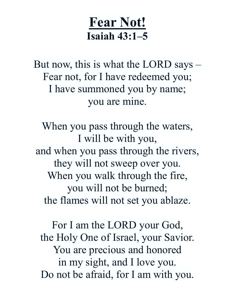### **Fear Not! Isaiah 43:1–5**

But now, this is what the LORD says – Fear not, for I have redeemed you; I have summoned you by name; you are mine.

When you pass through the waters, I will be with you, and when you pass through the rivers, they will not sweep over you. When you walk through the fire, you will not be burned; the flames will not set you ablaze.

For I am the LORD your God, the Holy One of Israel, your Savior. You are precious and honored in my sight, and I love you. Do not be afraid, for I am with you.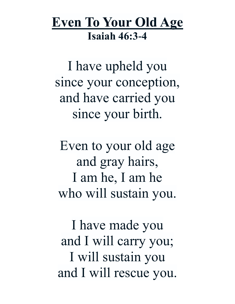### **Even To Your Old Age Isaiah 46:3-4**

I have upheld you since your conception, and have carried you since your birth.

Even to your old age and gray hairs, I am he, I am he who will sustain you.

I have made you and I will carry you; I will sustain you and I will rescue you.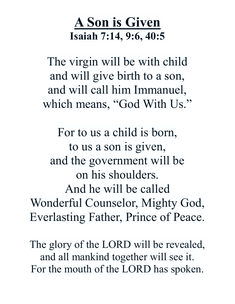# **A Son is Given Isaiah 7:14, 9:6, 40:5**

The virgin will be with child and will give birth to a son, and will call him Immanuel, which means, "God With Us."

For to us a child is born, to us a son is given, and the government will be on his shoulders. And he will be called Wonderful Counselor, Mighty God, Everlasting Father, Prince of Peace.

The glory of the LORD will be revealed, and all mankind together will see it. For the mouth of the LORD has spoken.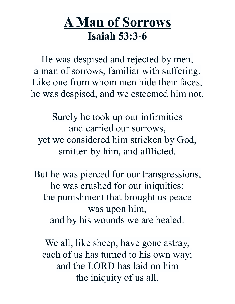### **A Man of Sorrows Isaiah 53:3-6**

He was despised and rejected by men, a man of sorrows, familiar with suffering. Like one from whom men hide their faces, he was despised, and we esteemed him not.

Surely he took up our infirmities and carried our sorrows, yet we considered him stricken by God, smitten by him, and afflicted.

But he was pierced for our transgressions, he was crushed for our iniquities; the punishment that brought us peace was upon him, and by his wounds we are healed.

We all, like sheep, have gone astray, each of us has turned to his own way; and the LORD has laid on him the iniquity of us all.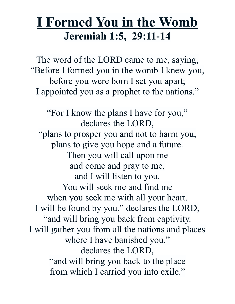### **I Formed You in the Womb Jeremiah 1:5, 29:11-14**

The word of the LORD came to me, saying, "Before I formed you in the womb I knew you, before you were born I set you apart; I appointed you as a prophet to the nations."

"For I know the plans I have for you," declares the LORD, "plans to prosper you and not to harm you, plans to give you hope and a future. Then you will call upon me and come and pray to me, and I will listen to you. You will seek me and find me when you seek me with all your heart. I will be found by you," declares the LORD, "and will bring you back from captivity. I will gather you from all the nations and places where I have banished you," declares the LORD, "and will bring you back to the place from which I carried you into exile."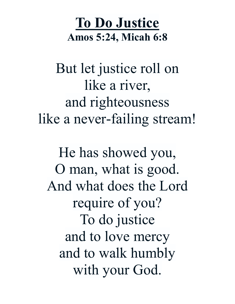# **To Do Justice Amos 5:24, Micah 6:8**

But let justice roll on like a river, and righteousness like a never-failing stream!

He has showed you, O man, what is good. And what does the Lord require of you? To do justice and to love mercy and to walk humbly with your God.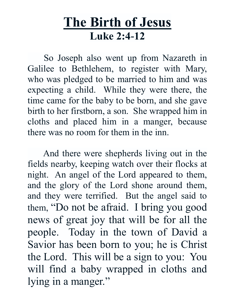### **The Birth of Jesus Luke 2:4-12**

 So Joseph also went up from Nazareth in Galilee to Bethlehem, to register with Mary, who was pledged to be married to him and was expecting a child. While they were there, the time came for the baby to be born, and she gave birth to her firstborn, a son. She wrapped him in cloths and placed him in a manger, because there was no room for them in the inn.

 And there were shepherds living out in the fields nearby, keeping watch over their flocks at night. An angel of the Lord appeared to them, and the glory of the Lord shone around them, and they were terrified. But the angel said to them, "Do not be afraid. I bring you good news of great joy that will be for all the people. Today in the town of David a Savior has been born to you; he is Christ the Lord.This will be a sign to you: You will find a baby wrapped in cloths and lying in a manger."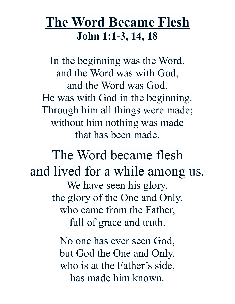### **The Word Became Flesh John 1:1-3, 14, 18**

In the beginning was the Word, and the Word was with God, and the Word was God. He was with God in the beginning. Through him all things were made; without him nothing was made that has been made.

The Word became flesh and lived for a while among us. We have seen his glory, the glory of the One and Only, who came from the Father, full of grace and truth.

> No one has ever seen God, but God the One and Only, who is at the Father's side, has made him known.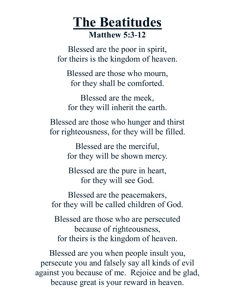### **The Beatitudes Matthew 5:3-12**

Blessed are the poor in spirit, for theirs is the kingdom of heaven.

Blessed are those who mourn, for they shall be comforted.

Blessed are the meek, for they will inherit the earth.

Blessed are those who hunger and thirst for righteousness, for they will be filled.

> Blessed are the merciful, for they will be shown mercy.

Blessed are the pure in heart, for they will see God.

Blessed are the peacemakers, for they will be called children of God.

Blessed are those who are persecuted because of righteousness, for theirs is the kingdom of heaven.

Blessed are you when people insult you, persecute you and falsely say all kinds of evil against you because of me. Rejoice and be glad, because great is your reward in heaven.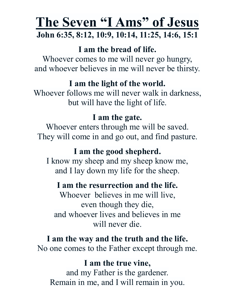### **The Seven "I Ams" of Jesus John 6:35, 8:12, 10:9, 10:14, 11:25, 14:6, 15:1**

#### **I am the bread of life.**

Whoever comes to me will never go hungry, and whoever believes in me will never be thirsty.

#### **I am the light of the world.**

Whoever follows me will never walk in darkness, but will have the light of life.

#### **I am the gate.**

Whoever enters through me will be saved. They will come in and go out, and find pasture.

#### **I am the good shepherd.**

I know my sheep and my sheep know me, and I lay down my life for the sheep.

#### **I am the resurrection and the life.**

Whoever believes in me will live, even though they die, and whoever lives and believes in me will never die.

#### **I am the way and the truth and the life.**

No one comes to the Father except through me.

#### **I am the true vine,**

and my Father is the gardener. Remain in me, and I will remain in you.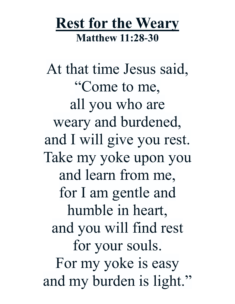# **Rest for the Weary Matthew 11:28-30**

At that time Jesus said, "Come to me, all you who are weary and burdened, and I will give you rest. Take my yoke upon you and learn from me, for I am gentle and humble in heart, and you will find rest for your souls. For my yoke is easy and my burden is light."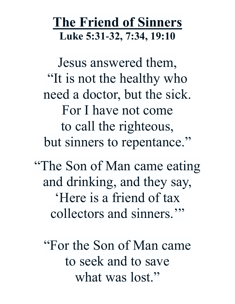### **The Friend of Sinners Luke 5:31-32, 7:34, 19:10**

Jesus answered them, "It is not the healthy who need a doctor, but the sick. For I have not come to call the righteous, but sinners to repentance."

"The Son of Man came eating and drinking, and they say, 'Here is a friend of tax collectors and sinners.'"

"For the Son of Man came to seek and to save what was lost."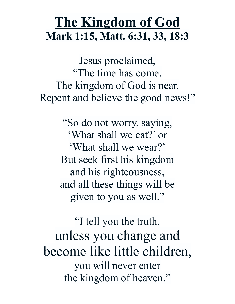### **The Kingdom of God Mark 1:15, Matt. 6:31, 33, 18:3**

Jesus proclaimed, "The time has come. The kingdom of God is near. Repent and believe the good news!"

> "So do not worry, saying, 'What shall we eat?' or 'What shall we wear?' But seek first his kingdom and his righteousness, and all these things will be given to you as well."

"I tell you the truth, unless you change and become like little children, you will never enter the kingdom of heaven."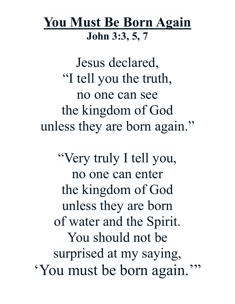### **You Must Be Born Again John 3:3, 5, 7**

Jesus declared, "I tell you the truth, no one can see the kingdom of God unless they are born again."

"Very truly I tell you, no one can enter the kingdom of God unless they are born of water and the Spirit. You should not be surprised at my saying, 'You must be born again.'"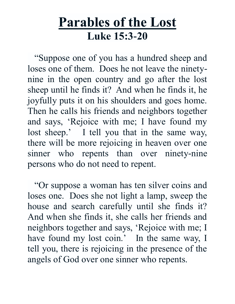### **Parables of the Lost Luke 15:3-20**

 "Suppose one of you has a hundred sheep and loses one of them. Does he not leave the ninetynine in the open country and go after the lost sheep until he finds it? And when he finds it, he joyfully puts it on his shoulders and goes home. Then he calls his friends and neighbors together and says, 'Rejoice with me; I have found my lost sheep.' I tell you that in the same way, there will be more rejoicing in heaven over one sinner who repents than over ninety-nine persons who do not need to repent.

 "Or suppose a woman has ten silver coins and loses one. Does she not light a lamp, sweep the house and search carefully until she finds it? And when she finds it, she calls her friends and neighbors together and says, 'Rejoice with me; I have found my lost coin.' In the same way, I tell you, there is rejoicing in the presence of the angels of God over one sinner who repents.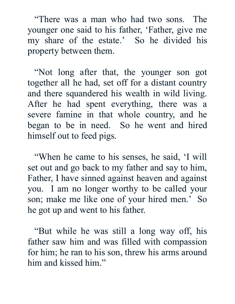"There was a man who had two sons. The younger one said to his father, 'Father, give me my share of the estate.' So he divided his property between them.

 "Not long after that, the younger son got together all he had, set off for a distant country and there squandered his wealth in wild living. After he had spent everything, there was a severe famine in that whole country, and he began to be in need. So he went and hired himself out to feed pigs.

 "When he came to his senses, he said, 'I will set out and go back to my father and say to him, Father, I have sinned against heaven and against you. I am no longer worthy to be called your son; make me like one of your hired men.' So he got up and went to his father.

 "But while he was still a long way off, his father saw him and was filled with compassion for him; he ran to his son, threw his arms around him and kissed him."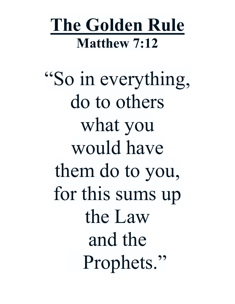# **The Golden Rule Matthew 7:12**

"So in everything, do to others what you would have them do to you, for this sums up the Law and the Prophets."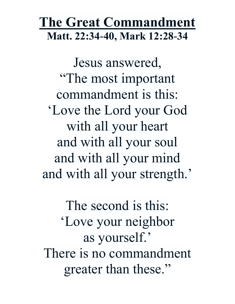### **The Great Commandment Matt. 22:34-40, Mark 12:28-34**

Jesus answered, "The most important commandment is this: 'Love the Lord your God with all your heart and with all your soul and with all your mind and with all your strength.'

The second is this: 'Love your neighbor as yourself.' There is no commandment greater than these."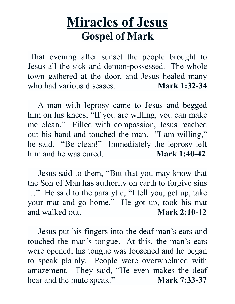### **Miracles of Jesus Gospel of Mark**

That evening after sunset the people brought to Jesus all the sick and demon-possessed. The whole town gathered at the door, and Jesus healed many who had various diseases. **Mark 1:32-34**

 A man with leprosy came to Jesus and begged him on his knees, "If you are willing, you can make me clean." Filled with compassion, Jesus reached out his hand and touched the man. "I am willing," he said. "Be clean!" Immediately the leprosy left him and he was cured. **Mark 1:40-42**

 Jesus said to them, "But that you may know that the Son of Man has authority on earth to forgive sins …" He said to the paralytic, "I tell you, get up, take your mat and go home." He got up, took his mat and walked out. **Mark 2:10-12**

 Jesus put his fingers into the deaf man's ears and touched the man's tongue. At this, the man's ears were opened, his tongue was loosened and he began to speak plainly. People were overwhelmed with amazement. They said, "He even makes the deaf hear and the mute speak." **Mark 7:33-37**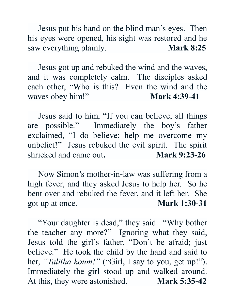Jesus put his hand on the blind man's eyes. Then his eyes were opened, his sight was restored and he saw everything plainly. **Mark 8:25** 

 Jesus got up and rebuked the wind and the waves, and it was completely calm. The disciples asked each other, "Who is this? Even the wind and the waves obey him!" **Mark 4:39-41** 

 Jesus said to him, "If you can believe, all things are possible." Immediately the boy's father exclaimed, "I do believe; help me overcome my unbelief!" Jesus rebuked the evil spirit. The spirit shrieked and came out. Mark 9:23-26

 Now Simon's mother-in-law was suffering from a high fever, and they asked Jesus to help her. So he bent over and rebuked the fever, and it left her. She got up at once. **Mark 1:30-31**

 "Your daughter is dead," they said. "Why bother the teacher any more?" Ignoring what they said, Jesus told the girl's father, "Don't be afraid; just believe." He took the child by the hand and said to her, *"Talitha koum!"* ("Girl, I say to you, get up!"). Immediately the girl stood up and walked around. At this, they were astonished. **Mark 5:35-42**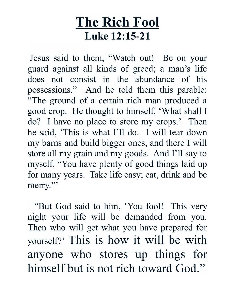### **The Rich Fool Luke 12:15-21**

Jesus said to them, "Watch out! Be on your guard against all kinds of greed; a man's life does not consist in the abundance of his possessions." And he told them this parable: "The ground of a certain rich man produced a good crop. He thought to himself, 'What shall I do? I have no place to store my crops.' Then he said, 'This is what I'll do. I will tear down my barns and build bigger ones, and there I will store all my grain and my goods. And I'll say to myself, "You have plenty of good things laid up for many years. Take life easy; eat, drink and be merry."

 "But God said to him, 'You fool! This very night your life will be demanded from you. Then who will get what you have prepared for yourself?' This is how it will be with anyone who stores up things for himself but is not rich toward God."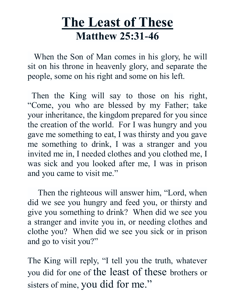### **The Least of These Matthew 25:31-46**

 When the Son of Man comes in his glory, he will sit on his throne in heavenly glory, and separate the people, some on his right and some on his left.

 Then the King will say to those on his right, "Come, you who are blessed by my Father; take your inheritance, the kingdom prepared for you since the creation of the world. For I was hungry and you gave me something to eat, I was thirsty and you gave me something to drink, I was a stranger and you invited me in, I needed clothes and you clothed me, I was sick and you looked after me, I was in prison and you came to visit me."

 Then the righteous will answer him, "Lord, when did we see you hungry and feed you, or thirsty and give you something to drink? When did we see you a stranger and invite you in, or needing clothes and clothe you? When did we see you sick or in prison and go to visit you?"

The King will reply, "I tell you the truth, whatever you did for one of the least of these brothers or sisters of mine, you did for me."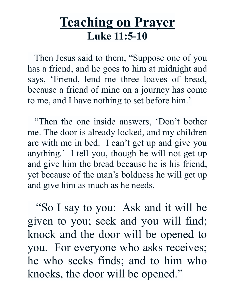### **Teaching on Prayer Luke 11:5-10**

 Then Jesus said to them, "Suppose one of you has a friend, and he goes to him at midnight and says, 'Friend, lend me three loaves of bread, because a friend of mine on a journey has come to me, and I have nothing to set before him.'

 "Then the one inside answers, 'Don't bother me. The door is already locked, and my children are with me in bed. I can't get up and give you anything.' I tell you, though he will not get up and give him the bread because he is his friend, yet because of the man's boldness he will get up and give him as much as he needs.

 "So I say to you: Ask and it will be given to you; seek and you will find; knock and the door will be opened to you. For everyone who asks receives; he who seeks finds; and to him who knocks, the door will be opened."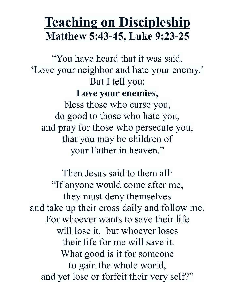### **Teaching on Discipleship Matthew 5:43-45, Luke 9:23-25**

"You have heard that it was said, 'Love your neighbor and hate your enemy.' But I tell you: **Love your enemies,** bless those who curse you, do good to those who hate you, and pray for those who persecute you, that you may be children of your Father in heaven."

Then Jesus said to them all: "If anyone would come after me, they must deny themselves and take up their cross daily and follow me. For whoever wants to save their life will lose it, but whoever loses their life for me will save it. What good is it for someone to gain the whole world, and yet lose or forfeit their very self?"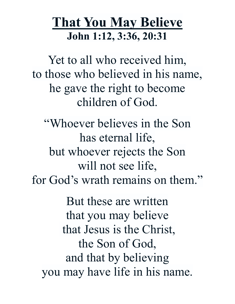### **That You May Believe John 1:12, 3:36, 20:31**

Yet to all who received him, to those who believed in his name, he gave the right to become children of God.

"Whoever believes in the Son has eternal life, but whoever rejects the Son will not see life, for God's wrath remains on them."

But these are written that you may believe that Jesus is the Christ, the Son of God, and that by believing you may have life in his name.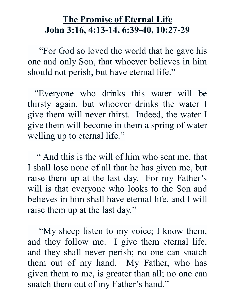#### **The Promise of Eternal Life John 3:16, 4:13-14, 6:39-40, 10:27-29**

 "For God so loved the world that he gave his one and only Son, that whoever believes in him should not perish, but have eternal life."

 "Everyone who drinks this water will be thirsty again, but whoever drinks the water I give them will never thirst. Indeed, the water I give them will become in them a spring of water welling up to eternal life."

 " And this is the will of him who sent me, that I shall lose none of all that he has given me, but raise them up at the last day. For my Father's will is that everyone who looks to the Son and believes in him shall have eternal life, and I will raise them up at the last day."

 "My sheep listen to my voice; I know them, and they follow me. I give them eternal life, and they shall never perish; no one can snatch them out of my hand. My Father, who has given them to me, is greater than all; no one can snatch them out of my Father's hand."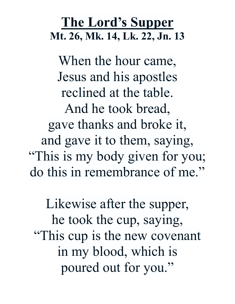### **The Lord's Supper Mt. 26, Mk. 14, Lk. 22, Jn. 13**

When the hour came, Jesus and his apostles reclined at the table. And he took bread, gave thanks and broke it, and gave it to them, saying, "This is my body given for you; do this in remembrance of me."

Likewise after the supper, he took the cup, saying, "This cup is the new covenant in my blood, which is poured out for you."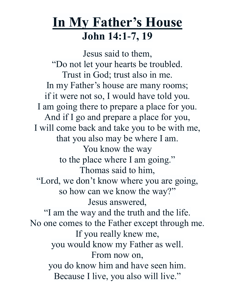### **In My Father's House John 14:1-7, 19**

Jesus said to them, "Do not let your hearts be troubled. Trust in God; trust also in me. In my Father's house are many rooms; if it were not so, I would have told you. I am going there to prepare a place for you. And if I go and prepare a place for you, I will come back and take you to be with me, that you also may be where I am. You know the way to the place where I am going." Thomas said to him, "Lord, we don't know where you are going, so how can we know the way?" Jesus answered, "I am the way and the truth and the life. No one comes to the Father except through me. If you really knew me, you would know my Father as well. From now on, you do know him and have seen him. Because I live, you also will live."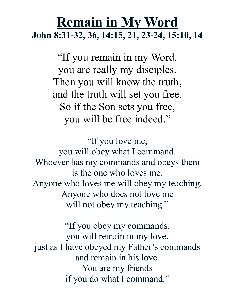### **Remain in My Word John 8:31-32, 36, 14:15, 21, 23-24, 15:10, 14**

"If you remain in my Word, you are really my disciples. Then you will know the truth, and the truth will set you free. So if the Son sets you free, you will be free indeed."

"If you love me, you will obey what I command. Whoever has my commands and obeys them is the one who loves me. Anyone who loves me will obey my teaching. Anyone who does not love me will not obey my teaching."

"If you obey my commands, you will remain in my love, just as I have obeyed my Father's commands and remain in his love. You are my friends if you do what I command."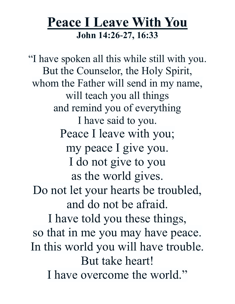### **Peace I Leave With You John 14:26-27, 16:33**

"I have spoken all this while still with you. But the Counselor, the Holy Spirit, whom the Father will send in my name, will teach you all things and remind you of everything I have said to you. Peace I leave with you; my peace I give you. I do not give to you as the world gives. Do not let your hearts be troubled, and do not be afraid. I have told you these things, so that in me you may have peace. In this world you will have trouble. But take heart! I have overcome the world."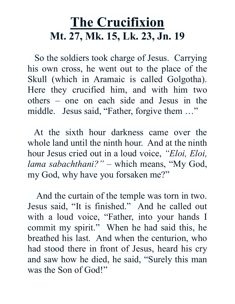# **The Crucifixion Mt. 27, Mk. 15, Lk. 23, Jn. 19**

 So the soldiers took charge of Jesus. Carrying his own cross, he went out to the place of the Skull (which in Aramaic is called Golgotha). Here they crucified him, and with him two others – one on each side and Jesus in the middle. Jesus said, "Father, forgive them ..."

 At the sixth hour darkness came over the whole land until the ninth hour. And at the ninth hour Jesus cried out in a loud voice, *"Eloi, Eloi, lama sabachthani?"* – which means, "My God, my God, why have you forsaken me?"

 And the curtain of the temple was torn in two. Jesus said, "It is finished." And he called out with a loud voice, "Father, into your hands I commit my spirit." When he had said this, he breathed his last. And when the centurion, who had stood there in front of Jesus, heard his cry and saw how he died, he said, "Surely this man was the Son of God!"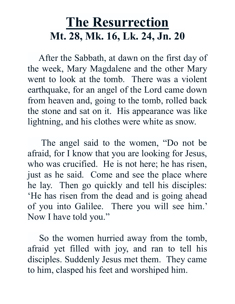# **The Resurrection Mt. 28, Mk. 16, Lk. 24, Jn. 20**

 After the Sabbath, at dawn on the first day of the week, Mary Magdalene and the other Mary went to look at the tomb. There was a violent earthquake, for an angel of the Lord came down from heaven and, going to the tomb, rolled back the stone and sat on it. His appearance was like lightning, and his clothes were white as snow.

 The angel said to the women, "Do not be afraid, for I know that you are looking for Jesus, who was crucified. He is not here; he has risen, just as he said. Come and see the place where he lay. Then go quickly and tell his disciples: 'He has risen from the dead and is going ahead of you into Galilee. There you will see him.' Now I have told you."

 So the women hurried away from the tomb, afraid yet filled with joy, and ran to tell his disciples. Suddenly Jesus met them. They came to him, clasped his feet and worshiped him.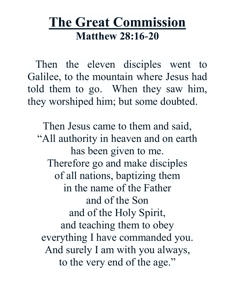### **The Great Commission Matthew 28:16-20**

 Then the eleven disciples went to Galilee, to the mountain where Jesus had told them to go. When they saw him, they worshiped him; but some doubted.

Then Jesus came to them and said, "All authority in heaven and on earth has been given to me. Therefore go and make disciples of all nations, baptizing them in the name of the Father and of the Son and of the Holy Spirit, and teaching them to obey everything I have commanded you. And surely I am with you always, to the very end of the age."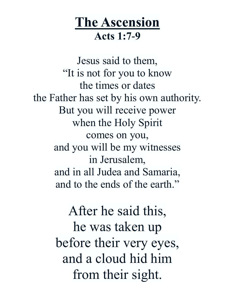# **The Ascension Acts 1:7-9**

Jesus said to them, "It is not for you to know the times or dates the Father has set by his own authority. But you will receive power when the Holy Spirit comes on you, and you will be my witnesses in Jerusalem, and in all Judea and Samaria, and to the ends of the earth."

> After he said this, he was taken up before their very eyes, and a cloud hid him from their sight.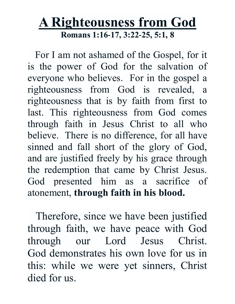#### **A Righteousness from God Romans 1:16-17, 3:22-25, 5:1, 8**

 For I am not ashamed of the Gospel, for it is the power of God for the salvation of everyone who believes. For in the gospel a righteousness from God is revealed, a righteousness that is by faith from first to last. This righteousness from God comes through faith in Jesus Christ to all who believe. There is no difference, for all have sinned and fall short of the glory of God, and are justified freely by his grace through the redemption that came by Christ Jesus. God presented him as a sacrifice of atonement, **through faith in his blood.**

 Therefore, since we have been justified through faith, we have peace with God through our Lord Jesus Christ. God demonstrates his own love for us in this: while we were yet sinners, Christ died for us.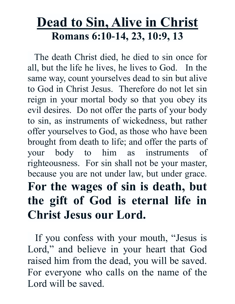# **Dead to Sin, Alive in Christ Romans 6:10-14, 23, 10:9, 13**

 The death Christ died, he died to sin once for all, but the life he lives, he lives to God. In the same way, count yourselves dead to sin but alive to God in Christ Jesus. Therefore do not let sin reign in your mortal body so that you obey its evil desires. Do not offer the parts of your body to sin, as instruments of wickedness, but rather offer yourselves to God, as those who have been brought from death to life; and offer the parts of your body to him as instruments of righteousness. For sin shall not be your master, because you are not under law, but under grace. **For the wages of sin is death, but the gift of God is eternal life in Christ Jesus our Lord.**

 If you confess with your mouth, "Jesus is Lord," and believe in your heart that God raised him from the dead, you will be saved. For everyone who calls on the name of the Lord will be saved.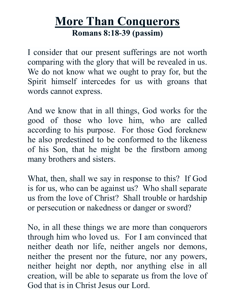#### **More Than Conquerors Romans 8:18-39 (passim)**

I consider that our present sufferings are not worth comparing with the glory that will be revealed in us. We do not know what we ought to pray for, but the Spirit himself intercedes for us with groans that words cannot express.

And we know that in all things, God works for the good of those who love him, who are called according to his purpose. For those God foreknew he also predestined to be conformed to the likeness of his Son, that he might be the firstborn among many brothers and sisters.

What, then, shall we say in response to this? If God is for us, who can be against us? Who shall separate us from the love of Christ? Shall trouble or hardship or persecution or nakedness or danger or sword?

No, in all these things we are more than conquerors through him who loved us. For I am convinced that neither death nor life, neither angels nor demons, neither the present nor the future, nor any powers, neither height nor depth, nor anything else in all creation, will be able to separate us from the love of God that is in Christ Jesus our Lord.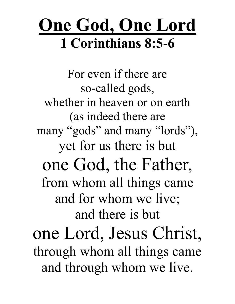# **One God, One Lord 1 Corinthians 8:5-6**

For even if there are so-called gods, whether in heaven or on earth (as indeed there are many "gods" and many "lords"), yet for us there is but one God, the Father, from whom all things came and for whom we live; and there is but one Lord, Jesus Christ, through whom all things came and through whom we live.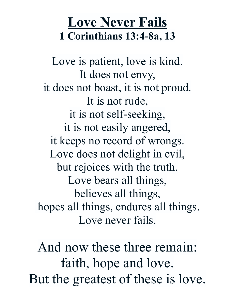# **Love Never Fails 1 Corinthians 13:4-8a, 13**

Love is patient, love is kind. It does not envy, it does not boast, it is not proud. It is not rude, it is not self-seeking, it is not easily angered, it keeps no record of wrongs. Love does not delight in evil, but rejoices with the truth. Love bears all things, believes all things, hopes all things, endures all things. Love never fails.

And now these three remain: faith, hope and love. But the greatest of these is love.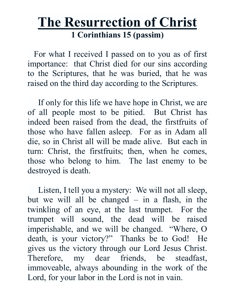#### **The Resurrection of Christ 1 Corinthians 15 (passim)**

 For what I received I passed on to you as of first importance: that Christ died for our sins according to the Scriptures, that he was buried, that he was raised on the third day according to the Scriptures.

 If only for this life we have hope in Christ, we are of all people most to be pitied. But Christ has indeed been raised from the dead, the firstfruits of those who have fallen asleep. For as in Adam all die, so in Christ all will be made alive. But each in turn: Christ, the firstfruits; then, when he comes, those who belong to him. The last enemy to be destroyed is death.

Listen, I tell you a mystery: We will not all sleep. but we will all be changed – in a flash, in the twinkling of an eye, at the last trumpet. For the trumpet will sound, the dead will be raised imperishable, and we will be changed. "Where, O death, is your victory?" Thanks be to God! He gives us the victory through our Lord Jesus Christ. Therefore, my dear friends, be steadfast, immoveable, always abounding in the work of the Lord, for your labor in the Lord is not in vain.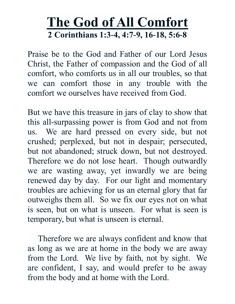#### **The God of All Comfort 2 Corinthians 1:3-4, 4:7-9, 16-18, 5:6-8**

Praise be to the God and Father of our Lord Jesus Christ, the Father of compassion and the God of all comfort, who comforts us in all our troubles, so that we can comfort those in any trouble with the comfort we ourselves have received from God.

But we have this treasure in jars of clay to show that this all-surpassing power is from God and not from us. We are hard pressed on every side, but not crushed; perplexed, but not in despair; persecuted, but not abandoned; struck down, but not destroyed. Therefore we do not lose heart. Though outwardly we are wasting away, yet inwardly we are being renewed day by day. For our light and momentary troubles are achieving for us an eternal glory that far outweighs them all. So we fix our eyes not on what is seen, but on what is unseen. For what is seen is temporary, but what is unseen is eternal.

 Therefore we are always confident and know that as long as we are at home in the body we are away from the Lord. We live by faith, not by sight. We are confident, I say, and would prefer to be away from the body and at home with the Lord.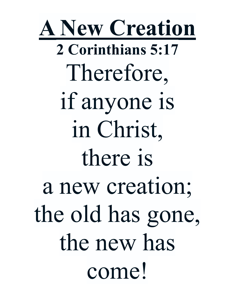**A New Creation 2 Corinthians 5:17** Therefore, if anyone is in Christ, there is a new creation; the old has gone, the new has come!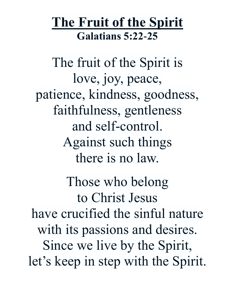# **The Fruit of the Spirit Galatians 5:22-25**

The fruit of the Spirit is love, joy, peace, patience, kindness, goodness, faithfulness, gentleness and self-control. Against such things there is no law. Those who belong to Christ Jesus have crucified the sinful nature with its passions and desires. Since we live by the Spirit, let's keep in step with the Spirit.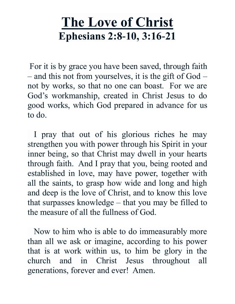# **The Love of Christ Ephesians 2:8-10, 3:16-21**

For it is by grace you have been saved, through faith – and this not from yourselves, it is the gift of God – not by works, so that no one can boast. For we are God's workmanship, created in Christ Jesus to do good works, which God prepared in advance for us to do.

 I pray that out of his glorious riches he may strengthen you with power through his Spirit in your inner being, so that Christ may dwell in your hearts through faith. And I pray that you, being rooted and established in love, may have power, together with all the saints, to grasp how wide and long and high and deep is the love of Christ, and to know this love that surpasses knowledge – that you may be filled to the measure of all the fullness of God.

 Now to him who is able to do immeasurably more than all we ask or imagine, according to his power that is at work within us, to him be glory in the church and in Christ Jesus throughout all generations, forever and ever! Amen.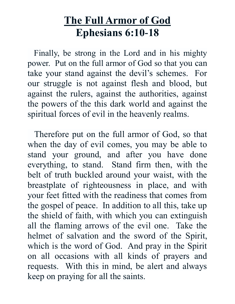#### **The Full Armor of God Ephesians 6:10-18**

 Finally, be strong in the Lord and in his mighty power. Put on the full armor of God so that you can take your stand against the devil's schemes. For our struggle is not against flesh and blood, but against the rulers, against the authorities, against the powers of the this dark world and against the spiritual forces of evil in the heavenly realms.

 Therefore put on the full armor of God, so that when the day of evil comes, you may be able to stand your ground, and after you have done everything, to stand. Stand firm then, with the belt of truth buckled around your waist, with the breastplate of righteousness in place, and with your feet fitted with the readiness that comes from the gospel of peace. In addition to all this, take up the shield of faith, with which you can extinguish all the flaming arrows of the evil one. Take the helmet of salvation and the sword of the Spirit, which is the word of God. And pray in the Spirit on all occasions with all kinds of prayers and requests. With this in mind, be alert and always keep on praying for all the saints.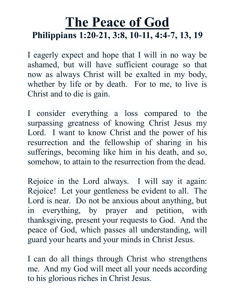#### **The Peace of God Philippians 1:20-21, 3:8, 10-11, 4:4-7, 13, 19**

I eagerly expect and hope that I will in no way be ashamed, but will have sufficient courage so that now as always Christ will be exalted in my body, whether by life or by death. For to me, to live is Christ and to die is gain.

I consider everything a loss compared to the surpassing greatness of knowing Christ Jesus my Lord. I want to know Christ and the power of his resurrection and the fellowship of sharing in his sufferings, becoming like him in his death, and so, somehow, to attain to the resurrection from the dead.

Rejoice in the Lord always. I will say it again: Rejoice! Let your gentleness be evident to all. The Lord is near. Do not be anxious about anything, but in everything, by prayer and petition, with thanksgiving, present your requests to God. And the peace of God, which passes all understanding, will guard your hearts and your minds in Christ Jesus.

I can do all things through Christ who strengthens me. And my God will meet all your needs according to his glorious riches in Christ Jesus.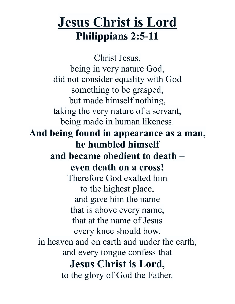# **Jesus Christ is Lord Philippians 2:5-11**

Christ Jesus, being in very nature God, did not consider equality with God something to be grasped, but made himself nothing, taking the very nature of a servant, being made in human likeness. **And being found in appearance as a man, he humbled himself and became obedient to death – even death on a cross!** Therefore God exalted him to the highest place, and gave him the name that is above every name, that at the name of Jesus every knee should bow, in heaven and on earth and under the earth, and every tongue confess that **Jesus Christ is Lord,** to the glory of God the Father.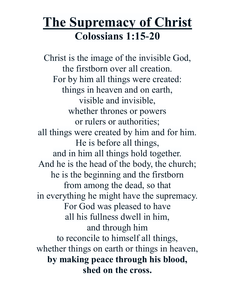# **The Supremacy of Christ Colossians 1:15-20**

Christ is the image of the invisible God, the firstborn over all creation. For by him all things were created: things in heaven and on earth, visible and invisible, whether thrones or powers or rulers or authorities; all things were created by him and for him. He is before all things, and in him all things hold together. And he is the head of the body, the church; he is the beginning and the firstborn from among the dead, so that in everything he might have the supremacy. For God was pleased to have all his fullness dwell in him, and through him to reconcile to himself all things, whether things on earth or things in heaven, **by making peace through his blood, shed on the cross.**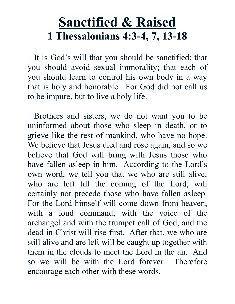# **Sanctified & Raised 1 Thessalonians 4:3-4, 7, 13-18**

 It is God's will that you should be sanctified: that you should avoid sexual immorality; that each of you should learn to control his own body in a way that is holy and honorable. For God did not call us to be impure, but to live a holy life.

 Brothers and sisters, we do not want you to be uninformed about those who sleep in death, or to grieve like the rest of mankind, who have no hope. We believe that Jesus died and rose again, and so we believe that God will bring with Jesus those who have fallen asleep in him. According to the Lord's own word, we tell you that we who are still alive, who are left till the coming of the Lord, will certainly not precede those who have fallen asleep. For the Lord himself will come down from heaven, with a loud command, with the voice of the archangel and with the trumpet call of God, and the dead in Christ will rise first. After that, we who are still alive and are left will be caught up together with them in the clouds to meet the Lord in the air. And so we will be with the Lord forever. Therefore encourage each other with these words.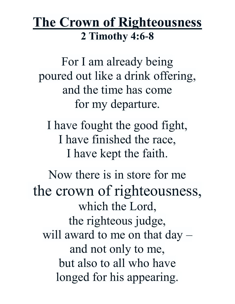#### **The Crown of Righteousness 2 Timothy 4:6-8**

For I am already being poured out like a drink offering, and the time has come for my departure.

I have fought the good fight, I have finished the race, I have kept the faith.

Now there is in store for me the crown of righteousness, which the Lord, the righteous judge, will award to me on that day – and not only to me, but also to all who have longed for his appearing.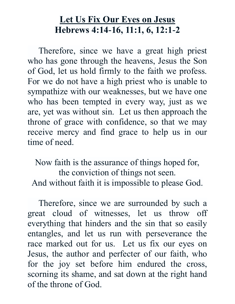#### **Let Us Fix Our Eyes on Jesus Hebrews 4:14-16, 11:1, 6, 12:1-2**

 Therefore, since we have a great high priest who has gone through the heavens, Jesus the Son of God, let us hold firmly to the faith we profess. For we do not have a high priest who is unable to sympathize with our weaknesses, but we have one who has been tempted in every way, just as we are, yet was without sin. Let us then approach the throne of grace with confidence, so that we may receive mercy and find grace to help us in our time of need.

Now faith is the assurance of things hoped for, the conviction of things not seen. And without faith it is impossible to please God.

 Therefore, since we are surrounded by such a great cloud of witnesses, let us throw off everything that hinders and the sin that so easily entangles, and let us run with perseverance the race marked out for us. Let us fix our eyes on Jesus, the author and perfecter of our faith, who for the joy set before him endured the cross, scorning its shame, and sat down at the right hand of the throne of God.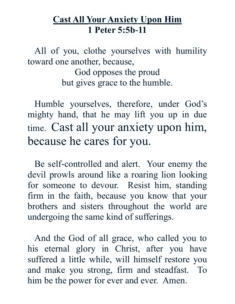#### **Cast All Your Anxiety Upon Him 1 Peter 5:5b-11**

 All of you, clothe yourselves with humility toward one another, because,

God opposes the proud but gives grace to the humble.

 Humble yourselves, therefore, under God's mighty hand, that he may lift you up in due time. Cast all your anxiety upon him, because he cares for you.

 Be self-controlled and alert. Your enemy the devil prowls around like a roaring lion looking for someone to devour. Resist him, standing firm in the faith, because you know that your brothers and sisters throughout the world are undergoing the same kind of sufferings.

 And the God of all grace, who called you to his eternal glory in Christ, after you have suffered a little while, will himself restore you and make you strong, firm and steadfast. To him be the power for ever and ever. Amen.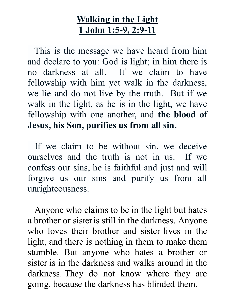#### **Walking in the Light 1 John 1:5-9, 2:9-11**

 This is the message we have heard from him and declare to you: God is light; in him there is no darkness at all. If we claim to have fellowship with him yet walk in the darkness, we lie and do not live by the truth. But if we walk in the light, as he is in the light, we have fellowship with one another, and **the blood of Jesus, his Son, purifies us from all sin.**

 If we claim to be without sin, we deceive ourselves and the truth is not in us. If we confess our sins, he is faithful and just and will forgive us our sins and purify us from all unrighteousness.

 Anyone who claims to be in the light but hates a brother or sisteris still in the darkness. Anyone who loves their brother and sister lives in the light, and there is nothing in them to make them stumble. But anyone who hates a brother or sister is in the darkness and walks around in the darkness. They do not know where they are going, because the darkness has blinded them.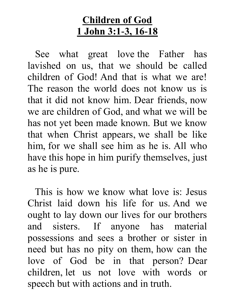#### **Children of God 1 John 3:1-3, 16-18**

 See what great love the Father has lavished on us, that we should be called children of God! And that is what we are! The reason the world does not know us is that it did not know him. Dear friends, now we are children of God, and what we will be has not yet been made known. But we know that when Christ appears, we shall be like him, for we shall see him as he is. All who have this hope in him purify themselves, just as he is pure.

 This is how we know what love is: Jesus Christ laid down his life for us. And we ought to lay down our lives for our brothers and sisters. If anyone has material possessions and sees a brother or sister in need but has no pity on them, how can the love of God be in that person? Dear children, let us not love with words or speech but with actions and in truth.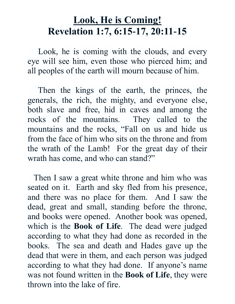#### **Look, He is Coming! Revelation 1:7, 6:15-17, 20:11-15**

 Look, he is coming with the clouds, and every eye will see him, even those who pierced him; and all peoples of the earth will mourn because of him.

 Then the kings of the earth, the princes, the generals, the rich, the mighty, and everyone else, both slave and free, hid in caves and among the rocks of the mountains. They called to the mountains and the rocks, "Fall on us and hide us from the face of him who sits on the throne and from the wrath of the Lamb! For the great day of their wrath has come, and who can stand?"

 Then I saw a great white throne and him who was seated on it. Earth and sky fled from his presence, and there was no place for them. And I saw the dead, great and small, standing before the throne, and books were opened. Another book was opened, which is the **Book of Life**. The dead were judged according to what they had done as recorded in the books. The sea and death and Hades gave up the dead that were in them, and each person was judged according to what they had done. If anyone's name was not found written in the **Book of Life**, they were thrown into the lake of fire.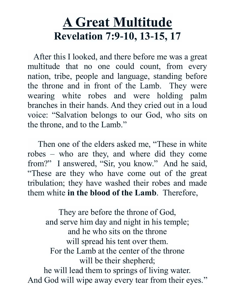# **A Great Multitude Revelation 7:9-10, 13-15, 17**

 After this I looked, and there before me was a great multitude that no one could count, from every nation, tribe, people and language, standing before the throne and in front of the Lamb. They were wearing white robes and were holding palm branches in their hands. And they cried out in a loud voice: "Salvation belongs to our God, who sits on the throne, and to the Lamb."

 Then one of the elders asked me, "These in white robes – who are they, and where did they come from?" I answered, "Sir, you know." And he said, "These are they who have come out of the great tribulation; they have washed their robes and made them white **in the blood of the Lamb**. Therefore,

They are before the throne of God, and serve him day and night in his temple; and he who sits on the throne will spread his tent over them. For the Lamb at the center of the throne will be their shepherd; he will lead them to springs of living water. And God will wipe away every tear from their eyes."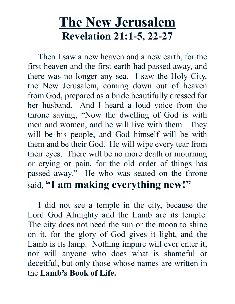# **The New Jerusalem Revelation 21:1-5, 22-27**

 Then I saw a new heaven and a new earth, for the first heaven and the first earth had passed away, and there was no longer any sea. I saw the Holy City, the New Jerusalem, coming down out of heaven from God, prepared as a bride beautifully dressed for her husband. And I heard a loud voice from the throne saying, "Now the dwelling of God is with men and women, and he will live with them. They will be his people, and God himself will be with them and be their God. He will wipe every tear from their eyes. There will be no more death or mourning or crying or pain, for the old order of things has passed away." He who was seated on the throne said, **"I am making everything new!"**

 I did not see a temple in the city, because the Lord God Almighty and the Lamb are its temple. The city does not need the sun or the moon to shine on it, for the glory of God gives it light, and the Lamb is its lamp. Nothing impure will ever enter it, nor will anyone who does what is shameful or deceitful, but only those whose names are written in the **Lamb's Book of Life.**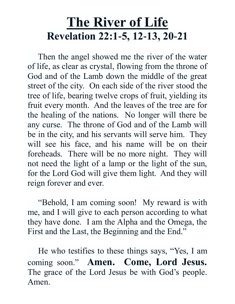# **The River of Life Revelation 22:1-5, 12-13, 20-21**

 Then the angel showed me the river of the water of life, as clear as crystal, flowing from the throne of God and of the Lamb down the middle of the great street of the city. On each side of the river stood the tree of life, bearing twelve crops of fruit, yielding its fruit every month. And the leaves of the tree are for the healing of the nations. No longer will there be any curse. The throne of God and of the Lamb will be in the city, and his servants will serve him. They will see his face, and his name will be on their foreheads. There will be no more night. They will not need the light of a lamp or the light of the sun, for the Lord God will give them light. And they will reign forever and ever.

 "Behold, I am coming soon! My reward is with me, and I will give to each person according to what they have done. I am the Alpha and the Omega, the First and the Last, the Beginning and the End."

 He who testifies to these things says, "Yes, I am coming soon." **Amen. Come, Lord Jesus.** The grace of the Lord Jesus be with God's people. Amen.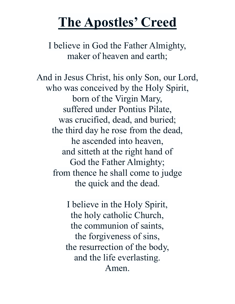# **The Apostles' Creed**

I believe in God the Father Almighty, maker of heaven and earth;

And in Jesus Christ, his only Son, our Lord, who was conceived by the Holy Spirit, born of the Virgin Mary, suffered under Pontius Pilate, was crucified, dead, and buried; the third day he rose from the dead, he ascended into heaven, and sitteth at the right hand of God the Father Almighty; from thence he shall come to judge the quick and the dead.

> I believe in the Holy Spirit, the holy catholic Church, the communion of saints, the forgiveness of sins, the resurrection of the body, and the life everlasting. Amen.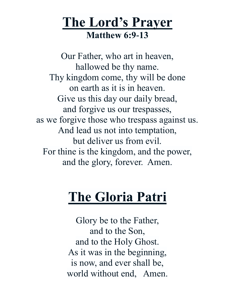#### **The Lord's Prayer Matthew 6:9-13**

Our Father, who art in heaven, hallowed be thy name. Thy kingdom come, thy will be done on earth as it is in heaven. Give us this day our daily bread, and forgive us our trespasses, as we forgive those who trespass against us. And lead us not into temptation, but deliver us from evil. For thine is the kingdom, and the power, and the glory, forever. Amen.

# **The Gloria Patri**

Glory be to the Father, and to the Son, and to the Holy Ghost. As it was in the beginning, is now, and ever shall be, world without end, Amen.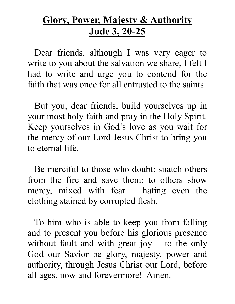#### **Glory, Power, Majesty & Authority Jude 3, 20-25**

 Dear friends, although I was very eager to write to you about the salvation we share, I felt I had to write and urge you to contend for the faith that was once for all entrusted to the saints.

 But you, dear friends, build yourselves up in your most holy faith and pray in the Holy Spirit. Keep yourselves in God's love as you wait for the mercy of our Lord Jesus Christ to bring you to eternal life.

 Be merciful to those who doubt; snatch others from the fire and save them; to others show mercy, mixed with fear – hating even the clothing stained by corrupted flesh.

 To him who is able to keep you from falling and to present you before his glorious presence without fault and with great joy  $-$  to the only God our Savior be glory, majesty, power and authority, through Jesus Christ our Lord, before all ages, now and forevermore! Amen.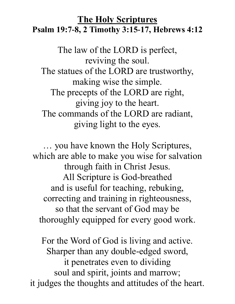#### **The Holy Scriptures Psalm 19:7-8, 2 Timothy 3:15-17, Hebrews 4:12**

The law of the LORD is perfect, reviving the soul. The statues of the LORD are trustworthy, making wise the simple. The precepts of the LORD are right, giving joy to the heart. The commands of the LORD are radiant, giving light to the eyes.

… you have known the Holy Scriptures, which are able to make you wise for salvation through faith in Christ Jesus. All Scripture is God-breathed and is useful for teaching, rebuking, correcting and training in righteousness, so that the servant of God may be thoroughly equipped for every good work.

For the Word of God is living and active. Sharper than any double-edged sword, it penetrates even to dividing soul and spirit, joints and marrow; it judges the thoughts and attitudes of the heart.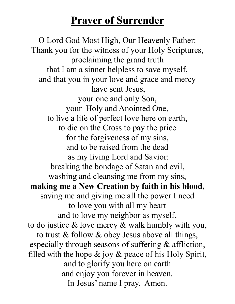#### **Prayer of Surrender**

O Lord God Most High, Our Heavenly Father: Thank you for the witness of your Holy Scriptures, proclaiming the grand truth that I am a sinner helpless to save myself, and that you in your love and grace and mercy have sent Jesus, your one and only Son, your Holy and Anointed One, to live a life of perfect love here on earth, to die on the Cross to pay the price for the forgiveness of my sins, and to be raised from the dead as my living Lord and Savior: breaking the bondage of Satan and evil, washing and cleansing me from my sins, **making me a New Creation by faith in his blood,** saving me and giving me all the power I need to love you with all my heart and to love my neighbor as myself, to do justice & love mercy & walk humbly with you, to trust & follow & obey Jesus above all things, especially through seasons of suffering & affliction, filled with the hope  $\&$  joy  $\&$  peace of his Holy Spirit, and to glorify you here on earth and enjoy you forever in heaven. In Jesus' name I pray. Amen.